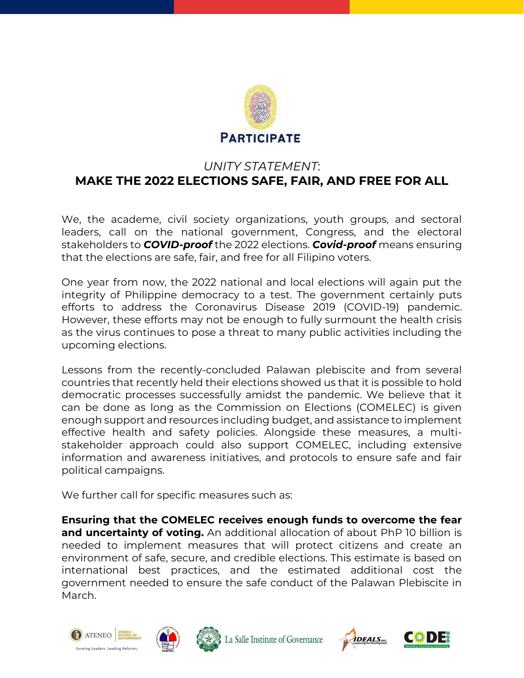

## *UNITY STATEMENT*: **MAKE THE 2022 ELECTIONS SAFE, FAIR, AND FREE FOR ALL**

We, the academe, civil society organizations, youth groups, and sectoral leaders, call on the national government, Congress, and the electoral stakeholders to *COVID-proof* the 2022 elections. *Covid-proof* means ensuring that the elections are safe, fair, and free for all Filipino voters.

One year from now, the 2022 national and local elections will again put the integrity of Philippine democracy to a test. The government certainly puts efforts to address the Coronavirus Disease 2019 (COVID-19) pandemic. However, these efforts may not be enough to fully surmount the health crisis as the virus continues to pose a threat to many public activities including the upcoming elections.

Lessons from the recently-concluded Palawan plebiscite and from several countries that recently held their elections showed us that it is possible to hold democratic processes successfully amidst the pandemic. We believe that it can be done as long as the Commission on Elections (COMELEC) is given enough support and resources including budget, and assistance to implement effective health and safety policies. Alongside these measures, a multistakeholder approach could also support COMELEC, including extensive information and awareness initiatives, and protocols to ensure safe and fair political campaigns.

We further call for specific measures such as:

**Ensuring that the COMELEC receives enough funds to overcome the fear and uncertainty of voting.** An additional allocation of about PhP 10 billion is needed to implement measures that will protect citizens and create an environment of safe, secure, and credible elections. This estimate is based on international best practices, and the estimated additional cost the government needed to ensure the safe conduct of the Palawan Plebiscite in March.







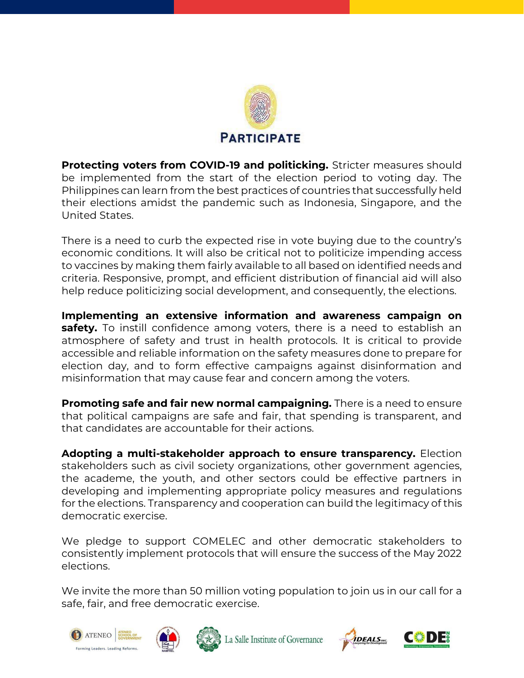

**Protecting voters from COVID-19 and politicking.** Stricter measures should be implemented from the start of the election period to voting day. The Philippines can learn from the best practices of countries that successfully held their elections amidst the pandemic such as Indonesia, Singapore, and the United States.

There is a need to curb the expected rise in vote buying due to the country's economic conditions. It will also be critical not to politicize impending access to vaccines by making them fairly available to all based on identified needs and criteria. Responsive, prompt, and efficient distribution of financial aid will also help reduce politicizing social development, and consequently, the elections.

**Implementing an extensive information and awareness campaign on safety.** To instill confidence among voters, there is a need to establish an atmosphere of safety and trust in health protocols. It is critical to provide accessible and reliable information on the safety measures done to prepare for election day, and to form effective campaigns against disinformation and misinformation that may cause fear and concern among the voters.

**Promoting safe and fair new normal campaigning.** There is a need to ensure that political campaigns are safe and fair, that spending is transparent, and that candidates are accountable for their actions.

**Adopting a multi-stakeholder approach to ensure transparency.** Election stakeholders such as civil society organizations, other government agencies, the academe, the youth, and other sectors could be effective partners in developing and implementing appropriate policy measures and regulations for the elections. Transparency and cooperation can build the legitimacy of this democratic exercise.

We pledge to support COMELEC and other democratic stakeholders to consistently implement protocols that will ensure the success of the May 2022 elections.

We invite the more than 50 million voting population to join us in our call for a safe, fair, and free democratic exercise.





La Salle Institute of Governance



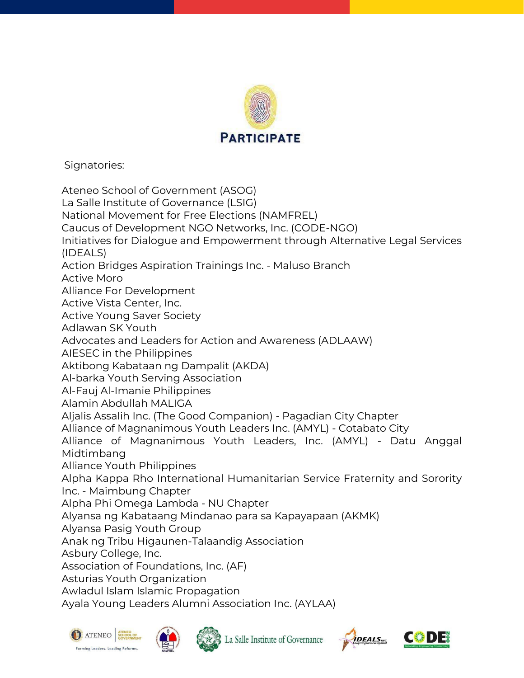

Signatories:

Ateneo School of Government (ASOG) La Salle Institute of Governance (LSIG) National Movement for Free Elections (NAMFREL) Caucus of Development NGO Networks, Inc. (CODE-NGO) Initiatives for Dialogue and Empowerment through Alternative Legal Services (IDEALS) Action Bridges Aspiration Trainings Inc. - Maluso Branch Active Moro Alliance For Development Active Vista Center, Inc. Active Young Saver Society Adlawan SK Youth Advocates and Leaders for Action and Awareness (ADLAAW) AIESEC in the Philippines Aktibong Kabataan ng Dampalit (AKDA) Al-barka Youth Serving Association Al-Fauj Al-Imanie Philippines Alamin Abdullah MALIGA Aljalis Assalih Inc. (The Good Companion) - Pagadian City Chapter Alliance of Magnanimous Youth Leaders Inc. (AMYL) - Cotabato City Alliance of Magnanimous Youth Leaders, Inc. (AMYL) - Datu Anggal Midtimbang Alliance Youth Philippines Alpha Kappa Rho International Humanitarian Service Fraternity and Sorority Inc. - Maimbung Chapter Alpha Phi Omega Lambda - NU Chapter Alyansa ng Kabataang Mindanao para sa Kapayapaan (AKMK) Alyansa Pasig Youth Group Anak ng Tribu Higaunen-Talaandig Association Asbury College, Inc. Association of Foundations, Inc. (AF) Asturias Youth Organization Awladul Islam Islamic Propagation Ayala Young Leaders Alumni Association Inc. (AYLAA)







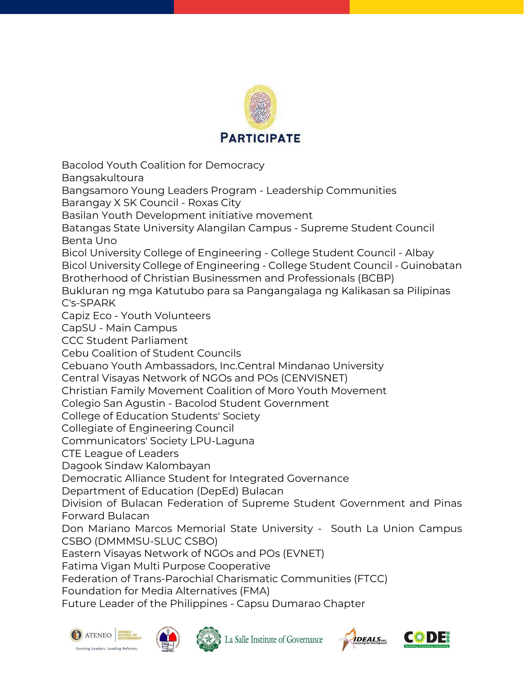

Bacolod Youth Coalition for Democracy Bangsakultoura Bangsamoro Young Leaders Program - Leadership Communities Barangay X SK Council - Roxas City Basilan Youth Development initiative movement Batangas State University Alangilan Campus - Supreme Student Council Benta Uno Bicol University College of Engineering - College Student Council - Albay Bicol University College of Engineering - College Student Council - Guinobatan Brotherhood of Christian Businessmen and Professionals (BCBP) Bukluran ng mga Katutubo para sa Pangangalaga ng Kalikasan sa Pilipinas C's-SPARK Capiz Eco - Youth Volunteers CapSU - Main Campus CCC Student Parliament Cebu Coalition of Student Councils Cebuano Youth Ambassadors, Inc.Central Mindanao University Central Visayas Network of NGOs and POs (CENVISNET) Christian Family Movement Coalition of Moro Youth Movement Colegio San Agustin - Bacolod Student Government College of Education Students' Society Collegiate of Engineering Council Communicators' Society LPU-Laguna CTE League of Leaders Dagook Sindaw Kalombayan Democratic Alliance Student for Integrated Governance Department of Education (DepEd) Bulacan Division of Bulacan Federation of Supreme Student Government and Pinas Forward Bulacan Don Mariano Marcos Memorial State University - South La Union Campus CSBO (DMMMSU-SLUC CSBO) Eastern Visayas Network of NGOs and POs (EVNET) Fatima Vigan Multi Purpose Cooperative Federation of Trans-Parochial Charismatic Communities (FTCC) Foundation for Media Alternatives (FMA)

Future Leader of the Philippines - Capsu Dumarao Chapter









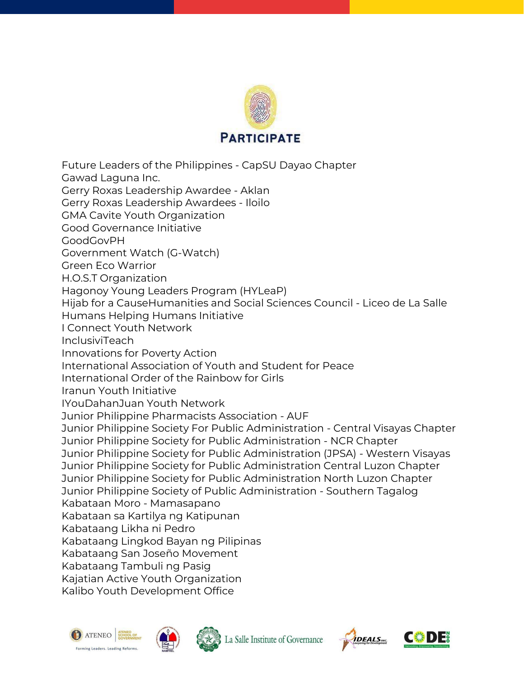

Future Leaders of the Philippines - CapSU Dayao Chapter Gawad Laguna Inc. Gerry Roxas Leadership Awardee - Aklan Gerry Roxas Leadership Awardees - Iloilo GMA Cavite Youth Organization Good Governance Initiative GoodGovPH Government Watch (G-Watch) Green Eco Warrior H.O.S.T Organization Hagonoy Young Leaders Program (HYLeaP) Hijab for a CauseHumanities and Social Sciences Council - Liceo de La Salle Humans Helping Humans Initiative I Connect Youth Network InclusiviTeach Innovations for Poverty Action International Association of Youth and Student for Peace International Order of the Rainbow for Girls Iranun Youth Initiative IYouDahanJuan Youth Network Junior Philippine Pharmacists Association - AUF Junior Philippine Society For Public Administration - Central Visayas Chapter Junior Philippine Society for Public Administration - NCR Chapter Junior Philippine Society for Public Administration (JPSA) - Western Visayas Junior Philippine Society for Public Administration Central Luzon Chapter Junior Philippine Society for Public Administration North Luzon Chapter Junior Philippine Society of Public Administration - Southern Tagalog Kabataan Moro - Mamasapano Kabataan sa Kartilya ng Katipunan Kabataang Likha ni Pedro Kabataang Lingkod Bayan ng Pilipinas Kabataang San Joseño Movement Kabataang Tambuli ng Pasig Kajatian Active Youth Organization Kalibo Youth Development Office







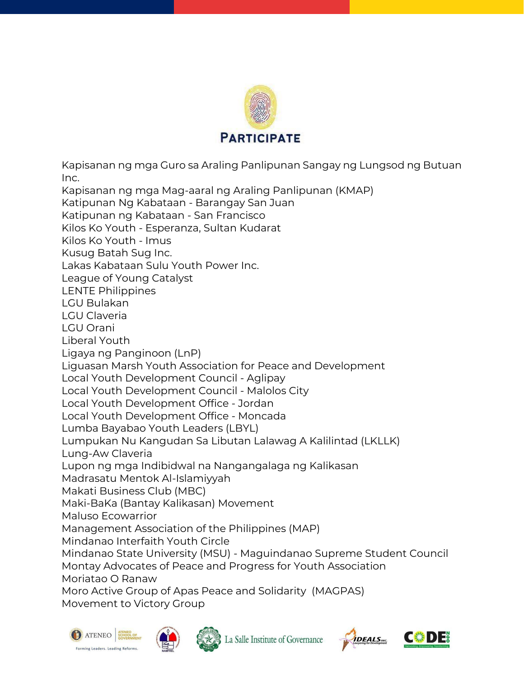

Kapisanan ng mga Guro sa Araling Panlipunan Sangay ng Lungsod ng Butuan Inc.

Kapisanan ng mga Mag-aaral ng Araling Panlipunan (KMAP)

Katipunan Ng Kabataan - Barangay San Juan

Katipunan ng Kabataan - San Francisco

Kilos Ko Youth - Esperanza, Sultan Kudarat

Kilos Ko Youth - Imus

Kusug Batah Sug Inc.

Lakas Kabataan Sulu Youth Power Inc.

League of Young Catalyst

LENTE Philippines

LGU Bulakan

LGU Claveria

LGU Orani

Liberal Youth

Ligaya ng Panginoon (LnP)

Liguasan Marsh Youth Association for Peace and Development

Local Youth Development Council - Aglipay

Local Youth Development Council - Malolos City

Local Youth Development Office - Jordan

Local Youth Development Office - Moncada

Lumba Bayabao Youth Leaders (LBYL)

Lumpukan Nu Kangudan Sa Libutan Lalawag A Kalilintad (LKLLK)

Lung-Aw Claveria

Lupon ng mga Indibidwal na Nangangalaga ng Kalikasan

Madrasatu Mentok Al-Islamiyyah

Makati Business Club (MBC)

Maki-BaKa (Bantay Kalikasan) Movement

Maluso Ecowarrior

Management Association of the Philippines (MAP)

Mindanao Interfaith Youth Circle

Mindanao State University (MSU) - Maguindanao Supreme Student Council Montay Advocates of Peace and Progress for Youth Association Moriatao O Ranaw

Moro Active Group of Apas Peace and Solidarity (MAGPAS) Movement to Victory Group







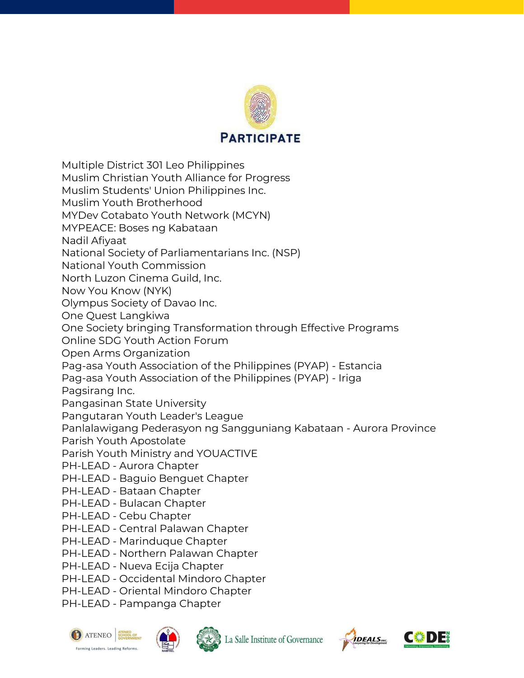

Multiple District 301 Leo Philippines

Muslim Christian Youth Alliance for Progress

Muslim Students' Union Philippines Inc.

Muslim Youth Brotherhood

MYDev Cotabato Youth Network (MCYN)

MYPEACE: Boses ng Kabataan

Nadil Afiyaat

National Society of Parliamentarians Inc. (NSP)

National Youth Commission

North Luzon Cinema Guild, Inc.

Now You Know (NYK)

Olympus Society of Davao Inc.

One Quest Langkiwa

One Society bringing Transformation through Effective Programs

Online SDG Youth Action Forum

Open Arms Organization

Pag-asa Youth Association of the Philippines (PYAP) - Estancia

Pag-asa Youth Association of the Philippines (PYAP) - Iriga

Pagsirang Inc.

Pangasinan State University

Pangutaran Youth Leader's League

Panlalawigang Pederasyon ng Sangguniang Kabataan - Aurora Province

Parish Youth Apostolate

Parish Youth Ministry and YOUACTIVE

PH-LEAD - Aurora Chapter

PH-LEAD - Baguio Benguet Chapter

PH-LEAD - Bataan Chapter

PH-LEAD - Bulacan Chapter

- PH-LEAD Cebu Chapter
- PH-LEAD Central Palawan Chapter
- PH-LEAD Marinduque Chapter

PH-LEAD - Northern Palawan Chapter

PH-LEAD - Nueva Ecija Chapter

PH-LEAD - Occidental Mindoro Chapter

PH-LEAD - Oriental Mindoro Chapter

PH-LEAD - Pampanga Chapter







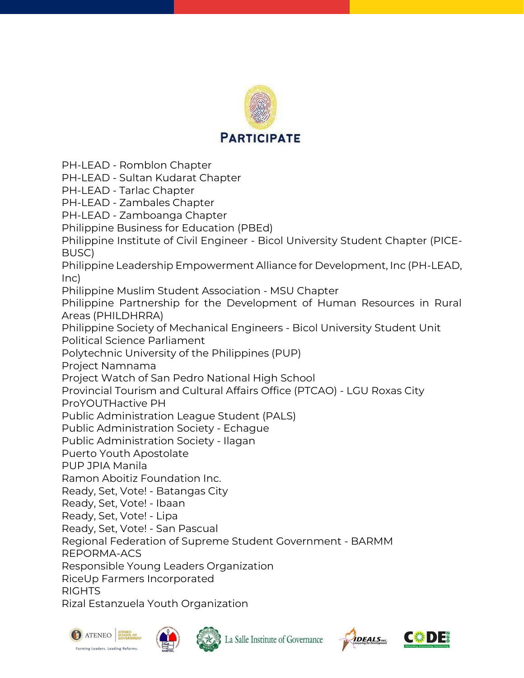

PH-LEAD - Romblon Chapter

PH-LEAD - Sultan Kudarat Chapter

PH-LEAD - Tarlac Chapter

PH-LEAD - Zambales Chapter

PH-LEAD - Zamboanga Chapter

Philippine Business for Education (PBEd)

Philippine Institute of Civil Engineer - Bicol University Student Chapter (PICE-BUSC)

Philippine Leadership Empowerment Alliance for Development, Inc (PH-LEAD, Inc)

Philippine Muslim Student Association - MSU Chapter

Philippine Partnership for the Development of Human Resources in Rural Areas (PHILDHRRA)

Philippine Society of Mechanical Engineers - Bicol University Student Unit Political Science Parliament

Polytechnic University of the Philippines (PUP)

Project Namnama

Project Watch of San Pedro National High School

Provincial Tourism and Cultural Affairs Office (PTCAO) - LGU Roxas City

ProYOUTHactive PH

Public Administration League Student (PALS)

Public Administration Society - Echague

Public Administration Society - Ilagan

Puerto Youth Apostolate

PUP JPIA Manila

Ramon Aboitiz Foundation Inc.

Ready, Set, Vote! - Batangas City

Ready, Set, Vote! - Ibaan

Ready, Set, Vote! - Lipa

Ready, Set, Vote! - San Pascual

Regional Federation of Supreme Student Government - BARMM

REPORMA-ACS

Responsible Young Leaders Organization

RiceUp Farmers Incorporated

RIGHTS

Rizal Estanzuela Youth Organization







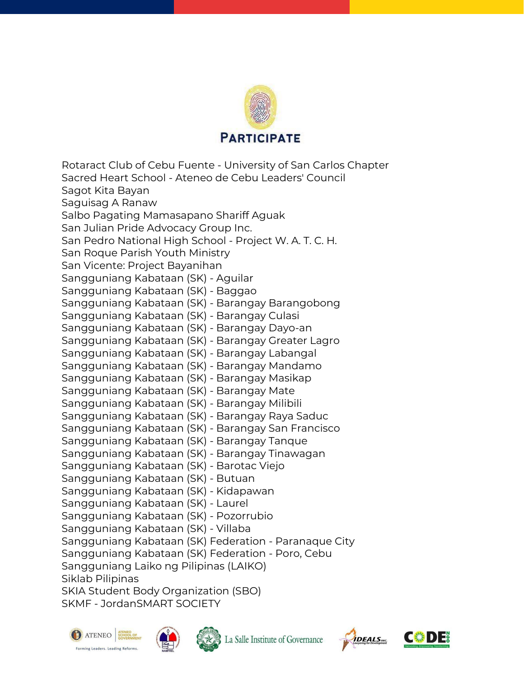

Rotaract Club of Cebu Fuente - University of San Carlos Chapter Sacred Heart School - Ateneo de Cebu Leaders' Council Sagot Kita Bayan Saguisag A Ranaw Salbo Pagating Mamasapano Shariff Aguak San Julian Pride Advocacy Group Inc. San Pedro National High School - Project W. A. T. C. H. San Roque Parish Youth Ministry San Vicente: Project Bayanihan Sangguniang Kabataan (SK) - Aguilar Sangguniang Kabataan (SK) - Baggao Sangguniang Kabataan (SK) - Barangay Barangobong Sangguniang Kabataan (SK) - Barangay Culasi Sangguniang Kabataan (SK) - Barangay Dayo-an Sangguniang Kabataan (SK) - Barangay Greater Lagro Sangguniang Kabataan (SK) - Barangay Labangal Sangguniang Kabataan (SK) - Barangay Mandamo Sangguniang Kabataan (SK) - Barangay Masikap Sangguniang Kabataan (SK) - Barangay Mate Sangguniang Kabataan (SK) - Barangay Milibili Sangguniang Kabataan (SK) - Barangay Raya Saduc Sangguniang Kabataan (SK) - Barangay San Francisco Sangguniang Kabataan (SK) - Barangay Tanque Sangguniang Kabataan (SK) - Barangay Tinawagan Sangguniang Kabataan (SK) - Barotac Viejo Sangguniang Kabataan (SK) - Butuan Sangguniang Kabataan (SK) - Kidapawan Sangguniang Kabataan (SK) - Laurel Sangguniang Kabataan (SK) - Pozorrubio Sangguniang Kabataan (SK) - Villaba Sangguniang Kabataan (SK) Federation - Paranaque City Sangguniang Kabataan (SK) Federation - Poro, Cebu Sangguniang Laiko ng Pilipinas (LAIKO) Siklab Pilipinas SKIA Student Body Organization (SBO) SKMF - JordanSMART SOCIETY







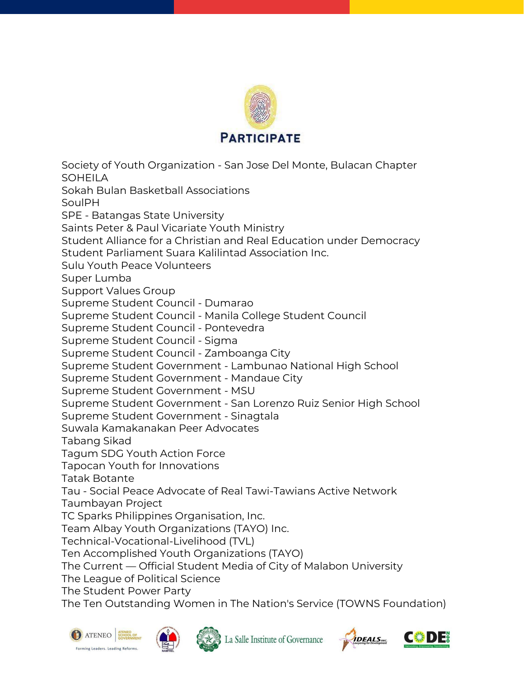

Society of Youth Organization - San Jose Del Monte, Bulacan Chapter SOHEILA Sokah Bulan Basketball Associations SoulPH SPE - Batangas State University Saints Peter & Paul Vicariate Youth Ministry Student Alliance for a Christian and Real Education under Democracy Student Parliament Suara Kalilintad Association Inc. Sulu Youth Peace Volunteers Super Lumba Support Values Group Supreme Student Council - Dumarao Supreme Student Council - Manila College Student Council Supreme Student Council - Pontevedra Supreme Student Council - Sigma Supreme Student Council - Zamboanga City Supreme Student Government - Lambunao National High School Supreme Student Government - Mandaue City Supreme Student Government - MSU Supreme Student Government - San Lorenzo Ruiz Senior High School Supreme Student Government - Sinagtala Suwala Kamakanakan Peer Advocates Tabang Sikad Tagum SDG Youth Action Force Tapocan Youth for Innovations Tatak Botante Tau - Social Peace Advocate of Real Tawi-Tawians Active Network Taumbayan Project TC Sparks Philippines Organisation, Inc. Team Albay Youth Organizations (TAYO) Inc. Technical-Vocational-Livelihood (TVL) Ten Accomplished Youth Organizations (TAYO) The Current — Official Student Media of City of Malabon University The League of Political Science The Student Power Party

The Ten Outstanding Women in The Nation's Service (TOWNS Foundation)









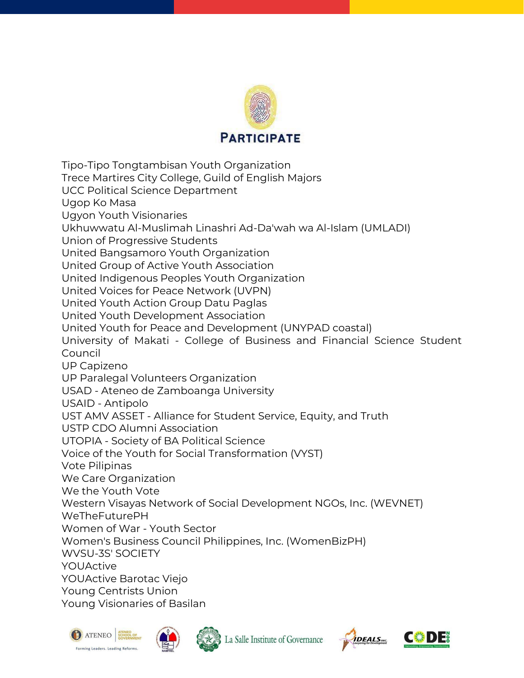

Tipo-Tipo Tongtambisan Youth Organization Trece Martires City College, Guild of English Majors UCC Political Science Department Ugop Ko Masa Ugyon Youth Visionaries Ukhuwwatu Al-Muslimah Linashri Ad-Da'wah wa Al-Islam (UMLADI) Union of Progressive Students United Bangsamoro Youth Organization United Group of Active Youth Association United Indigenous Peoples Youth Organization United Voices for Peace Network (UVPN) United Youth Action Group Datu Paglas United Youth Development Association United Youth for Peace and Development (UNYPAD coastal) University of Makati - College of Business and Financial Science Student Council UP Capizeno UP Paralegal Volunteers Organization USAD - Ateneo de Zamboanga University USAID - Antipolo UST AMV ASSET - Alliance for Student Service, Equity, and Truth USTP CDO Alumni Association UTOPIA - Society of BA Political Science Voice of the Youth for Social Transformation (VYST) Vote Pilipinas We Care Organization We the Youth Vote Western Visayas Network of Social Development NGOs, Inc. (WEVNET) WeTheFuturePH Women of War - Youth Sector Women's Business Council Philippines, Inc. (WomenBizPH) WVSU-3S' SOCIETY YOUActive YOUActive Barotac Viejo Young Centrists Union Young Visionaries of Basilan